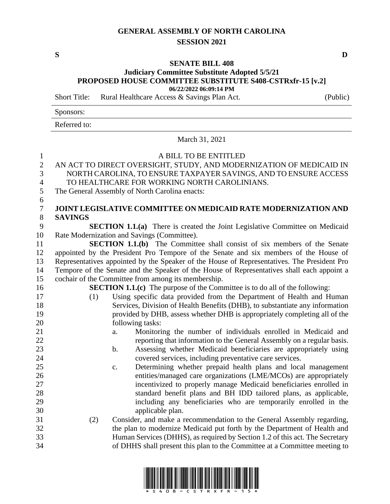## **GENERAL ASSEMBLY OF NORTH CAROLINA SESSION 2021**

## **SENATE BILL 408**

## **Judiciary Committee Substitute Adopted 5/5/21 PROPOSED HOUSE COMMITTEE SUBSTITUTE S408-CSTRxfr-15 [v.2] 06/22/2022 06:09:14 PM**

March 31, 2021

Short Title: Rural Healthcare Access & Savings Plan Act. (Public)

Sponsors:

Referred to:

 A BILL TO BE ENTITLED AN ACT TO DIRECT OVERSIGHT, STUDY, AND MODERNIZATION OF MEDICAID IN NORTH CAROLINA, TO ENSURE TAXPAYER SAVINGS, AND TO ENSURE ACCESS TO HEALTHCARE FOR WORKING NORTH CAROLINIANS. The General Assembly of North Carolina enacts: **JOINT LEGISLATIVE COMMITTEE ON MEDICAID RATE MODERNIZATION AND SAVINGS SECTION 1.1.(a)** There is created the Joint Legislative Committee on Medicaid Rate Modernization and Savings (Committee). **SECTION 1.1.(b)** The Committee shall consist of six members of the Senate appointed by the President Pro Tempore of the Senate and six members of the House of Representatives appointed by the Speaker of the House of Representatives. The President Pro Tempore of the Senate and the Speaker of the House of Representatives shall each appoint a cochair of the Committee from among its membership. **SECTION 1.1.(c)** The purpose of the Committee is to do all of the following: (1) Using specific data provided from the Department of Health and Human Services, Division of Health Benefits (DHB), to substantiate any information provided by DHB, assess whether DHB is appropriately completing all of the 20 following tasks: a. Monitoring the number of individuals enrolled in Medicaid and reporting that information to the General Assembly on a regular basis. b. Assessing whether Medicaid beneficiaries are appropriately using covered services, including preventative care services. c. Determining whether prepaid health plans and local management entities/managed care organizations (LME/MCOs) are appropriately incentivized to properly manage Medicaid beneficiaries enrolled in standard benefit plans and BH IDD tailored plans, as applicable, including any beneficiaries who are temporarily enrolled in the applicable plan. (2) Consider, and make a recommendation to the General Assembly regarding, the plan to modernize Medicaid put forth by the Department of Health and Human Services (DHHS), as required by Section 1.2 of this act. The Secretary of DHHS shall present this plan to the Committee at a Committee meeting to

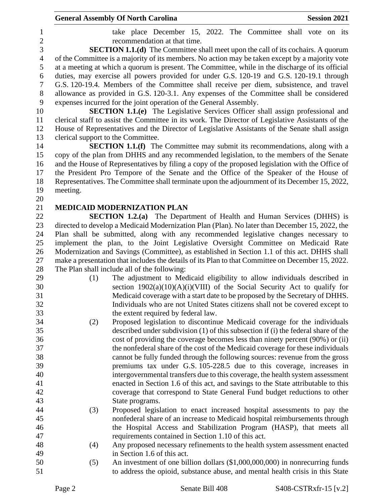|                |                                    | <b>General Assembly Of North Carolina</b><br><b>Session 2021</b>                                  |
|----------------|------------------------------------|---------------------------------------------------------------------------------------------------|
| 1              |                                    | take place December 15, 2022. The Committee shall vote on its                                     |
| $\overline{2}$ |                                    | recommendation at that time.                                                                      |
| 3              |                                    | <b>SECTION 1.1.(d)</b> The Committee shall meet upon the call of its cochairs. A quorum           |
| $\overline{4}$ |                                    | of the Committee is a majority of its members. No action may be taken except by a majority vote   |
| 5              |                                    | at a meeting at which a quorum is present. The Committee, while in the discharge of its official  |
| 6              |                                    | duties, may exercise all powers provided for under G.S. 120-19 and G.S. 120-19.1 through          |
| 7              |                                    | G.S. 120-19.4. Members of the Committee shall receive per diem, subsistence, and travel           |
| 8              |                                    | allowance as provided in G.S. 120-3.1. Any expenses of the Committee shall be considered          |
| 9              |                                    | expenses incurred for the joint operation of the General Assembly.                                |
| 10             |                                    | <b>SECTION 1.1.(e)</b> The Legislative Services Officer shall assign professional and             |
| 11             |                                    | clerical staff to assist the Committee in its work. The Director of Legislative Assistants of the |
| 12             |                                    | House of Representatives and the Director of Legislative Assistants of the Senate shall assign    |
| 13             | clerical support to the Committee. |                                                                                                   |
| 14             |                                    | <b>SECTION 1.1.(f)</b> The Committee may submit its recommendations, along with a                 |
| 15             |                                    | copy of the plan from DHHS and any recommended legislation, to the members of the Senate          |
| 16             |                                    | and the House of Representatives by filing a copy of the proposed legislation with the Office of  |
| 17             |                                    | the President Pro Tempore of the Senate and the Office of the Speaker of the House of             |
| 18             |                                    | Representatives. The Committee shall terminate upon the adjournment of its December 15, 2022,     |
| 19             | meeting.                           |                                                                                                   |
| 20             |                                    |                                                                                                   |
| 21             |                                    | <b>MEDICAID MODERNIZATION PLAN</b>                                                                |
| 22             |                                    | <b>SECTION 1.2.(a)</b> The Department of Health and Human Services (DHHS) is                      |
| 23             |                                    | directed to develop a Medicaid Modernization Plan (Plan). No later than December 15, 2022, the    |
| 24             |                                    | Plan shall be submitted, along with any recommended legislative changes necessary to              |
| 25             |                                    | implement the plan, to the Joint Legislative Oversight Committee on Medicaid Rate                 |
| 26             |                                    | Modernization and Savings (Committee), as established in Section 1.1 of this act. DHHS shall      |
| 27             |                                    | make a presentation that includes the details of its Plan to that Committee on December 15, 2022. |
| 28             |                                    | The Plan shall include all of the following:                                                      |
| 29             | (1)                                | The adjustment to Medicaid eligibility to allow individuals described in                          |
| 30             |                                    | section $1902(a)(10)(A)(i)(VIII)$ of the Social Security Act to qualify for                       |
| 31             |                                    | Medicaid coverage with a start date to be proposed by the Secretary of DHHS.                      |
| 32             |                                    | Individuals who are not United States citizens shall not be covered except to                     |
| 33             |                                    | the extent required by federal law.                                                               |
| 34             | (2)                                | Proposed legislation to discontinue Medicaid coverage for the individuals                         |
| 35             |                                    | described under subdivision (1) of this subsection if (i) the federal share of the                |
| 36             |                                    | cost of providing the coverage becomes less than ninety percent (90%) or (ii)                     |
| 37             |                                    | the nonfederal share of the cost of the Medicaid coverage for these individuals                   |
| 38             |                                    | cannot be fully funded through the following sources: revenue from the gross                      |
| 39             |                                    | premiums tax under G.S. 105-228.5 due to this coverage, increases in                              |
| 40             |                                    | intergovernmental transfers due to this coverage, the health system assessment                    |
| 41             |                                    | enacted in Section 1.6 of this act, and savings to the State attributable to this                 |
| 42             |                                    | coverage that correspond to State General Fund budget reductions to other                         |
| 43             |                                    | State programs.                                                                                   |
| 44             | (3)                                | Proposed legislation to enact increased hospital assessments to pay the                           |
| 45             |                                    | nonfederal share of an increase to Medicaid hospital reimbursements through                       |
| 46             |                                    | the Hospital Access and Stabilization Program (HASP), that meets all                              |
| 47             |                                    | requirements contained in Section 1.10 of this act.                                               |
| 48             | (4)                                | Any proposed necessary refinements to the health system assessment enacted                        |
| 49             |                                    | in Section 1.6 of this act.                                                                       |
| 50             | (5)                                | An investment of one billion dollars (\$1,000,000,000) in nonrecurring funds                      |
| 51             |                                    | to address the opioid, substance abuse, and mental health crisis in this State                    |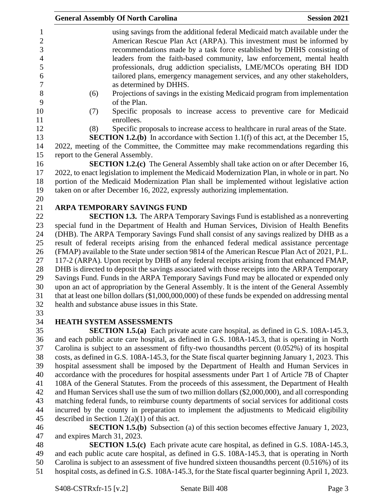|                                 | <b>General Assembly Of North Carolina</b>                                                                                                                                                                                                                                                                                                                                                                                                                                                | <b>Session 2021</b> |
|---------------------------------|------------------------------------------------------------------------------------------------------------------------------------------------------------------------------------------------------------------------------------------------------------------------------------------------------------------------------------------------------------------------------------------------------------------------------------------------------------------------------------------|---------------------|
|                                 | using savings from the additional federal Medicaid match available under the<br>American Rescue Plan Act (ARPA). This investment must be informed by<br>recommendations made by a task force established by DHHS consisting of<br>leaders from the faith-based community, law enforcement, mental health<br>professionals, drug addiction specialists, LME/MCOs operating BH IDD<br>tailored plans, emergency management services, and any other stakeholders,<br>as determined by DHHS. |                     |
| (6)                             | Projections of savings in the existing Medicaid program from implementation<br>of the Plan.                                                                                                                                                                                                                                                                                                                                                                                              |                     |
| (7)                             | Specific proposals to increase access to preventive care for Medicaid<br>enrollees.                                                                                                                                                                                                                                                                                                                                                                                                      |                     |
| (8)                             | Specific proposals to increase access to healthcare in rural areas of the State.                                                                                                                                                                                                                                                                                                                                                                                                         |                     |
|                                 | <b>SECTION 1.2.(b)</b> In accordance with Section 1.1(f) of this act, at the December 15,                                                                                                                                                                                                                                                                                                                                                                                                |                     |
|                                 | 2022, meeting of the Committee, the Committee may make recommendations regarding this                                                                                                                                                                                                                                                                                                                                                                                                    |                     |
| report to the General Assembly. |                                                                                                                                                                                                                                                                                                                                                                                                                                                                                          |                     |
|                                 | <b>SECTION 1.2.(c)</b> The General Assembly shall take action on or after December 16,                                                                                                                                                                                                                                                                                                                                                                                                   |                     |
|                                 | 2022, to enact legislation to implement the Medicaid Modernization Plan, in whole or in part. No                                                                                                                                                                                                                                                                                                                                                                                         |                     |
|                                 | portion of the Medicaid Modernization Plan shall be implemented without legislative action                                                                                                                                                                                                                                                                                                                                                                                               |                     |
|                                 | taken on or after December 16, 2022, expressly authorizing implementation.                                                                                                                                                                                                                                                                                                                                                                                                               |                     |
|                                 |                                                                                                                                                                                                                                                                                                                                                                                                                                                                                          |                     |
|                                 | ARPA TEMPORARY SAVINGS FUND                                                                                                                                                                                                                                                                                                                                                                                                                                                              |                     |
|                                 | <b>SECTION 1.3.</b> The ARPA Temporary Savings Fund is established as a nonreverting                                                                                                                                                                                                                                                                                                                                                                                                     |                     |
|                                 | special fund in the Department of Health and Human Services, Division of Health Benefits<br>(DHB). The ARPA Temporary Savings Fund shall consist of any savings realized by DHB as a                                                                                                                                                                                                                                                                                                     |                     |
|                                 | result of federal receipts arising from the enhanced federal medical assistance percentage                                                                                                                                                                                                                                                                                                                                                                                               |                     |
|                                 | (FMAP) available to the State under section 9814 of the American Rescue Plan Act of 2021, P.L.                                                                                                                                                                                                                                                                                                                                                                                           |                     |
|                                 | 117-2 (ARPA). Upon receipt by DHB of any federal receipts arising from that enhanced FMAP,                                                                                                                                                                                                                                                                                                                                                                                               |                     |
|                                 | DHB is directed to deposit the savings associated with those receipts into the ARPA Temporary                                                                                                                                                                                                                                                                                                                                                                                            |                     |
|                                 | Savings Fund. Funds in the ARPA Temporary Savings Fund may be allocated or expended only                                                                                                                                                                                                                                                                                                                                                                                                 |                     |
|                                 | upon an act of appropriation by the General Assembly. It is the intent of the General Assembly                                                                                                                                                                                                                                                                                                                                                                                           |                     |
|                                 | that at least one billon dollars $(\$1,000,000,000)$ of these funds be expended on addressing mental                                                                                                                                                                                                                                                                                                                                                                                     |                     |
|                                 | health and substance abuse issues in this State.                                                                                                                                                                                                                                                                                                                                                                                                                                         |                     |
|                                 |                                                                                                                                                                                                                                                                                                                                                                                                                                                                                          |                     |
|                                 | <b>HEATH SYSTEM ASSESSMENTS</b>                                                                                                                                                                                                                                                                                                                                                                                                                                                          |                     |
|                                 | <b>SECTION 1.5.(a)</b> Each private acute care hospital, as defined in G.S. 108A-145.3,                                                                                                                                                                                                                                                                                                                                                                                                  |                     |
|                                 | and each public acute care hospital, as defined in G.S. 108A-145.3, that is operating in North                                                                                                                                                                                                                                                                                                                                                                                           |                     |
|                                 | Carolina is subject to an assessment of fifty-two thousandths percent $(0.052%)$ of its hospital                                                                                                                                                                                                                                                                                                                                                                                         |                     |
|                                 | costs, as defined in G.S. 108A-145.3, for the State fiscal quarter beginning January 1, 2023. This                                                                                                                                                                                                                                                                                                                                                                                       |                     |
|                                 | hospital assessment shall be imposed by the Department of Health and Human Services in                                                                                                                                                                                                                                                                                                                                                                                                   |                     |
|                                 | accordance with the procedures for hospital assessments under Part 1 of Article 7B of Chapter                                                                                                                                                                                                                                                                                                                                                                                            |                     |
|                                 | 108A of the General Statutes. From the proceeds of this assessment, the Department of Health<br>and Human Services shall use the sum of two million dollars (\$2,000,000), and all corresponding                                                                                                                                                                                                                                                                                         |                     |

- matching federal funds, to reimburse county departments of social services for additional costs incurred by the county in preparation to implement the adjustments to Medicaid eligibility described in Section 1.2(a)(1) of this act.
- **SECTION 1.5.(b)** Subsection (a) of this section becomes effective January 1, 2023, and expires March 31, 2023.

 **SECTION 1.5.(c)** Each private acute care hospital, as defined in G.S. 108A-145.3, and each public acute care hospital, as defined in G.S. 108A-145.3, that is operating in North Carolina is subject to an assessment of five hundred sixteen thousandths percent (0.516%) of its hospital costs, as defined in G.S. 108A-145.3, for the State fiscal quarter beginning April 1, 2023.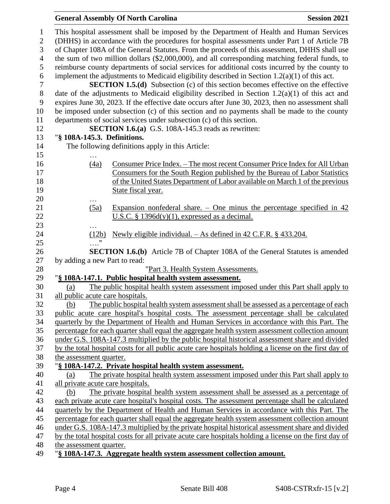## General Assembly Of North Carolina **Session 2021**

| 1              | This hospital assessment shall be imposed by the Department of Health and Human Services               |
|----------------|--------------------------------------------------------------------------------------------------------|
| $\overline{2}$ | (DHHS) in accordance with the procedures for hospital assessments under Part 1 of Article 7B           |
| 3              | of Chapter 108A of the General Statutes. From the proceeds of this assessment, DHHS shall use          |
| $\overline{4}$ | the sum of two million dollars (\$2,000,000), and all corresponding matching federal funds, to         |
| 5              | reimburse county departments of social services for additional costs incurred by the county to         |
| 6              | implement the adjustments to Medicaid eligibility described in Section $1.2(a)(1)$ of this act.        |
| $\tau$         | <b>SECTION 1.5.(d)</b> Subsection (c) of this section becomes effective on the effective               |
| $8\,$          | date of the adjustments to Medicaid eligibility described in Section $1.2(a)(1)$ of this act and       |
| 9              | expires June 30, 2023. If the effective date occurs after June 30, 2023, then no assessment shall      |
| 10             | be imposed under subsection (c) of this section and no payments shall be made to the county            |
| 11             | departments of social services under subsection (c) of this section.                                   |
| 12             | <b>SECTION 1.6.(a)</b> G.S. 108A-145.3 reads as rewritten:                                             |
| 13             | "§ 108A-145.3. Definitions.                                                                            |
| 14             | The following definitions apply in this Article:                                                       |
| 15             |                                                                                                        |
| 16             | (4a)<br>Consumer Price Index. – The most recent Consumer Price Index for All Urban                     |
| 17             | Consumers for the South Region published by the Bureau of Labor Statistics                             |
| 18             | of the United States Department of Labor available on March 1 of the previous                          |
| 19             | State fiscal year.                                                                                     |
| 20             |                                                                                                        |
| 21             | Expansion nonfederal share. $\sim$ One minus the percentage specified in 42<br>(5a)                    |
| 22             | U.S.C. § 1396 $d(y)(1)$ , expressed as a decimal.                                                      |
| 23             |                                                                                                        |
| 24             | Newly eligible individual. $-$ As defined in 42 C.F.R. § 433.204.<br>(12b)                             |
| 25             | $\ldots$ "                                                                                             |
| 26             | <b>SECTION 1.6.(b)</b> Article 7B of Chapter 108A of the General Statutes is amended                   |
| 27             | by adding a new Part to read:                                                                          |
| 28             | "Part 3. Health System Assessments.                                                                    |
| 29             | "§ 108A-147.1. Public hospital health system assessment.                                               |
| 30             | The public hospital health system assessment imposed under this Part shall apply to<br>(a)             |
| 31             | all public acute care hospitals.                                                                       |
| 32             | The public hospital health system assessment shall be assessed as a percentage of each<br><u>(b)</u>   |
| 33             | public acute care hospital's hospital costs. The assessment percentage shall be calculated             |
| 34             | quarterly by the Department of Health and Human Services in accordance with this Part. The             |
| 35             | percentage for each quarter shall equal the aggregate health system assessment collection amount       |
| 36             | under G.S. 108A-147.3 multiplied by the public hospital historical assessment share and divided        |
| 37             | by the total hospital costs for all public acute care hospitals holding a license on the first day of  |
| 38             | the assessment quarter.                                                                                |
| 39             | "§ 108A-147.2. Private hospital health system assessment.                                              |
| 40             | The private hospital health system assessment imposed under this Part shall apply to<br>(a)            |
| 41             | all private acute care hospitals.                                                                      |
| 42             | The private hospital health system assessment shall be assessed as a percentage of<br>(b)              |
| 43             | each private acute care hospital's hospital costs. The assessment percentage shall be calculated       |
| 44             | quarterly by the Department of Health and Human Services in accordance with this Part. The             |
| 45             | percentage for each quarter shall equal the aggregate health system assessment collection amount       |
| 46             | under G.S. 108A-147.3 multiplied by the private hospital historical assessment share and divided       |
| 47             | by the total hospital costs for all private acute care hospitals holding a license on the first day of |
| 48             | the assessment quarter.                                                                                |
| 49             | "§ 108A-147.3. Aggregate health system assessment collection amount.                                   |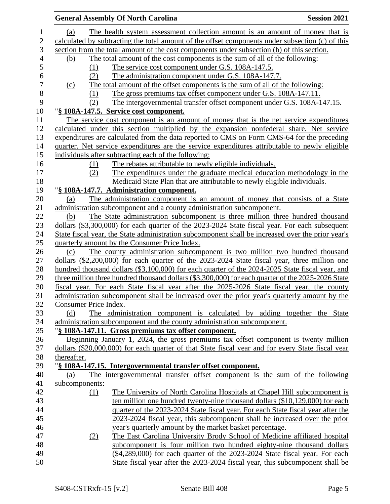|             |                       | <b>General Assembly Of North Carolina</b>                                                                                                                                                 | <b>Session 2021</b> |
|-------------|-----------------------|-------------------------------------------------------------------------------------------------------------------------------------------------------------------------------------------|---------------------|
| (a)         |                       | The health system assessment collection amount is an amount of money that is                                                                                                              |                     |
|             |                       | calculated by subtracting the total amount of the offset components under subsection (c) of this                                                                                          |                     |
|             |                       | section from the total amount of the cost components under subsection (b) of this section.                                                                                                |                     |
| (b)         |                       | The total amount of the cost components is the sum of all of the following:                                                                                                               |                     |
|             | (1)                   | The service cost component under G.S. 108A-147.5.                                                                                                                                         |                     |
|             | (2)                   | The administration component under G.S. 108A-147.7.                                                                                                                                       |                     |
| (c)         |                       | The total amount of the offset components is the sum of all of the following:                                                                                                             |                     |
|             | <u>(1)</u>            | The gross premiums tax offset component under G.S. 108A-147.11.                                                                                                                           |                     |
|             | (2)                   | The intergovernmental transfer offset component under G.S. 108A-147.15.                                                                                                                   |                     |
|             |                       | "§ 108A-147.5. Service cost component.                                                                                                                                                    |                     |
|             |                       | The service cost component is an amount of money that is the net service expenditures                                                                                                     |                     |
|             |                       | calculated under this section multiplied by the expansion nonfederal share. Net service                                                                                                   |                     |
|             |                       | expenditures are calculated from the data reported to CMS on Form CMS-64 for the preceding                                                                                                |                     |
|             |                       | quarter. Net service expenditures are the service expenditures attributable to newly eligible                                                                                             |                     |
|             |                       | individuals after subtracting each of the following:                                                                                                                                      |                     |
|             |                       | The rebates attributable to newly eligible individuals.                                                                                                                                   |                     |
|             | (1)<br>(2)            | The expenditures under the graduate medical education methodology in the                                                                                                                  |                     |
|             |                       | Medicaid State Plan that are attributable to newly eligible individuals.                                                                                                                  |                     |
|             |                       | "§ 108A-147.7. Administration component.                                                                                                                                                  |                     |
| (a)         |                       | The administration component is an amount of money that consists of a State                                                                                                               |                     |
|             |                       | administration subcomponent and a county administration subcomponent.                                                                                                                     |                     |
| (b)         |                       | The State administration subcomponent is three million three hundred thousand                                                                                                             |                     |
|             |                       | dollars (\$3,300,000) for each quarter of the 2023-2024 State fiscal year. For each subsequent                                                                                            |                     |
|             |                       | State fiscal year, the State administration subcomponent shall be increased over the prior year's                                                                                         |                     |
|             |                       | quarterly amount by the Consumer Price Index.                                                                                                                                             |                     |
| (c)         |                       | The county administration subcomponent is two million two hundred thousand                                                                                                                |                     |
|             |                       | dollars (\$2,200,000) for each quarter of the 2023-2024 State fiscal year, three million one                                                                                              |                     |
|             |                       | hundred thousand dollars (\$3,100,000) for each quarter of the 2024-2025 State fiscal year, and                                                                                           |                     |
|             |                       | three million three hundred thousand dollars (\$3,300,000) for each quarter of the 2025-2026 State                                                                                        |                     |
|             |                       |                                                                                                                                                                                           |                     |
|             |                       | fiscal year. For each State fiscal year after the 2025-2026 State fiscal year, the county<br>administration subcomponent shall be increased over the prior year's quarterly amount by the |                     |
|             |                       |                                                                                                                                                                                           |                     |
|             | Consumer Price Index. |                                                                                                                                                                                           |                     |
| (d)         |                       | The administration component is calculated by adding together the State                                                                                                                   |                     |
|             |                       | administration subcomponent and the county administration subcomponent.                                                                                                                   |                     |
|             |                       | "§ 108A-147.11. Gross premiums tax offset component.                                                                                                                                      |                     |
|             |                       | Beginning January 1, 2024, the gross premiums tax offset component is twenty million                                                                                                      |                     |
|             |                       | dollars (\$20,000,000) for each quarter of that State fiscal year and for every State fiscal year                                                                                         |                     |
| thereafter. |                       |                                                                                                                                                                                           |                     |
|             |                       | "§ 108A-147.15. Intergovernmental transfer offset component.                                                                                                                              |                     |
| (a)         |                       | The intergovernmental transfer offset component is the sum of the following                                                                                                               |                     |
|             | subcomponents:        |                                                                                                                                                                                           |                     |
|             | (1)                   | The University of North Carolina Hospitals at Chapel Hill subcomponent is                                                                                                                 |                     |
|             |                       | ten million one hundred twenty-nine thousand dollars (\$10,129,000) for each                                                                                                              |                     |
|             |                       | quarter of the 2023-2024 State fiscal year. For each State fiscal year after the                                                                                                          |                     |
|             |                       | 2023-2024 fiscal year, this subcomponent shall be increased over the prior                                                                                                                |                     |
|             |                       | year's quarterly amount by the market basket percentage.                                                                                                                                  |                     |
|             | (2)                   | The East Carolina University Brody School of Medicine affiliated hospital                                                                                                                 |                     |
|             |                       | subcomponent is four million two hundred eighty-nine thousand dollars                                                                                                                     |                     |
|             |                       | $(\$4,289,000)$ for each quarter of the 2023-2024 State fiscal year. For each                                                                                                             |                     |
|             |                       | State fiscal year after the 2023-2024 fiscal year, this subcomponent shall be                                                                                                             |                     |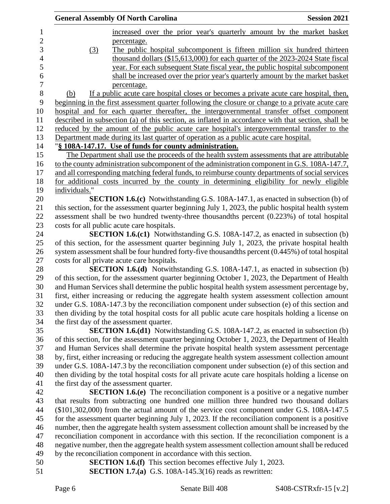| <b>General Assembly Of North Carolina</b>                                                           | <b>Session 2021</b> |
|-----------------------------------------------------------------------------------------------------|---------------------|
| increased over the prior year's quarterly amount by the market basket                               |                     |
| percentage.<br>The public hospital subcomponent is fifteen million six hundred thirteen<br>(3)      |                     |
| thousand dollars (\$15,613,000) for each quarter of the 2023-2024 State fiscal                      |                     |
| year. For each subsequent State fiscal year, the public hospital subcomponent                       |                     |
| shall be increased over the prior year's quarterly amount by the market basket                      |                     |
| percentage.                                                                                         |                     |
| If a public acute care hospital closes or becomes a private acute care hospital, then,<br>(b)       |                     |
| beginning in the first assessment quarter following the closure or change to a private acute care   |                     |
| hospital and for each quarter thereafter, the intergovernmental transfer offset component           |                     |
| described in subsection (a) of this section, as inflated in accordance with that section, shall be  |                     |
| reduced by the amount of the public acute care hospital's intergovernmental transfer to the         |                     |
| Department made during its last quarter of operation as a public acute care hospital.               |                     |
| "§ 108A-147.17. Use of funds for county administration.                                             |                     |
| The Department shall use the proceeds of the health system assessments that are attributable        |                     |
| to the county administration subcomponent of the administration component in G.S. 108A-147.7,       |                     |
| and all corresponding matching federal funds, to reimburse county departments of social services    |                     |
| for additional costs incurred by the county in determining eligibility for newly eligible           |                     |
| individuals."                                                                                       |                     |
| <b>SECTION 1.6.(c)</b> Notwithstanding G.S. 108A-147.1, as enacted in subsection (b) of             |                     |
| this section, for the assessment quarter beginning July 1, 2023, the public hospital health system  |                     |
| assessment shall be two hundred twenty-three thousandths percent (0.223%) of total hospital         |                     |
| costs for all public acute care hospitals.                                                          |                     |
| <b>SECTION 1.6.(c1)</b> Notwithstanding G.S. 108A-147.2, as enacted in subsection (b)               |                     |
| of this section, for the assessment quarter beginning July 1, 2023, the private hospital health     |                     |
| system assessment shall be four hundred forty-five thousandths percent (0.445%) of total hospital   |                     |
| costs for all private acute care hospitals.                                                         |                     |
| <b>SECTION 1.6.(d)</b> Notwithstanding G.S. 108A-147.1, as enacted in subsection (b)                |                     |
| of this section, for the assessment quarter beginning October 1, 2023, the Department of Health     |                     |
| and Human Services shall determine the public hospital health system assessment percentage by,      |                     |
| first, either increasing or reducing the aggregate health system assessment collection amount       |                     |
| under G.S. 108A-147.3 by the reconciliation component under subsection (e) of this section and      |                     |
| then dividing by the total hospital costs for all public acute care hospitals holding a license on  |                     |
| the first day of the assessment quarter.                                                            |                     |
| <b>SECTION 1.6.(d1)</b> Notwithstanding G.S. 108A-147.2, as enacted in subsection (b)               |                     |
| of this section, for the assessment quarter beginning October 1, 2023, the Department of Health     |                     |
| and Human Services shall determine the private hospital health system assessment percentage         |                     |
| by, first, either increasing or reducing the aggregate health system assessment collection amount   |                     |
| under G.S. 108A-147.3 by the reconciliation component under subsection (e) of this section and      |                     |
| then dividing by the total hospital costs for all private acute care hospitals holding a license on |                     |
| the first day of the assessment quarter.                                                            |                     |
| <b>SECTION 1.6.(e)</b> The reconciliation component is a positive or a negative number              |                     |
| that results from subtracting one hundred one million three hundred two thousand dollars            |                     |
| (\$101,302,000) from the actual amount of the service cost component under G.S. 108A-147.5          |                     |
| for the assessment quarter beginning July 1, 2023. If the reconciliation component is a positive    |                     |
| number, then the aggregate health system assessment collection amount shall be increased by the     |                     |
| reconciliation component in accordance with this section. If the reconciliation component is a      |                     |
| negative number, then the aggregate health system assessment collection amount shall be reduced     |                     |
| by the reconciliation component in accordance with this section.                                    |                     |
| <b>SECTION 1.6.(f)</b> This section becomes effective July 1, 2023.                                 |                     |
| <b>SECTION 1.7.(a)</b> G.S. 108A-145.3(16) reads as rewritten:                                      |                     |
|                                                                                                     |                     |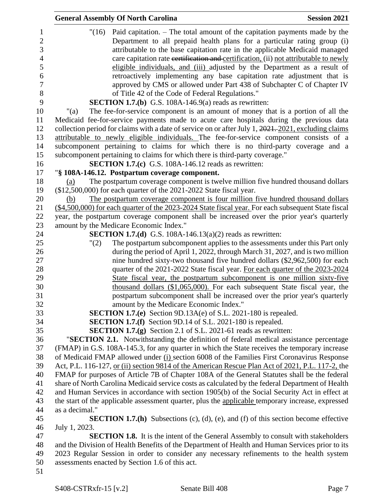|                                                                | <b>General Assembly Of North Carolina</b><br><b>Session 2021</b>                                                                                                                                                                                                                                                                                                                                                                                                                              |
|----------------------------------------------------------------|-----------------------------------------------------------------------------------------------------------------------------------------------------------------------------------------------------------------------------------------------------------------------------------------------------------------------------------------------------------------------------------------------------------------------------------------------------------------------------------------------|
| $\mathbf 1$<br>$\overline{2}$<br>3<br>$\overline{4}$<br>5<br>6 | Paid capitation. – The total amount of the capitation payments made by the<br>"(16)<br>Department to all prepaid health plans for a particular rating group (i)<br>attributable to the base capitation rate in the applicable Medicaid managed<br>care capitation rate certification and certification, (ii) not attributable to newly<br>eligible individuals, and (iii) adjusted by the Department as a result of<br>retroactively implementing any base capitation rate adjustment that is |
| $\tau$                                                         | approved by CMS or allowed under Part 438 of Subchapter C of Chapter IV                                                                                                                                                                                                                                                                                                                                                                                                                       |
| 8                                                              | of Title 42 of the Code of Federal Regulations."                                                                                                                                                                                                                                                                                                                                                                                                                                              |
| 9                                                              | <b>SECTION 1.7.(b)</b> G.S. 108A-146.9(a) reads as rewritten:                                                                                                                                                                                                                                                                                                                                                                                                                                 |
| 10                                                             | The fee-for-service component is an amount of money that is a portion of all the<br>"(a)                                                                                                                                                                                                                                                                                                                                                                                                      |
| 11<br>12                                                       | Medicaid fee-for-service payments made to acute care hospitals during the previous data<br>collection period for claims with a date of service on or after July 1, 2021, 2021, excluding claims                                                                                                                                                                                                                                                                                               |
| 13                                                             | attributable to newly eligible individuals. The fee-for-service component consists of a                                                                                                                                                                                                                                                                                                                                                                                                       |
| 14                                                             | subcomponent pertaining to claims for which there is no third-party coverage and a                                                                                                                                                                                                                                                                                                                                                                                                            |
| 15                                                             | subcomponent pertaining to claims for which there is third-party coverage."                                                                                                                                                                                                                                                                                                                                                                                                                   |
| 16                                                             | <b>SECTION 1.7.(c)</b> G.S. 108A-146.12 reads as rewritten:                                                                                                                                                                                                                                                                                                                                                                                                                                   |
| 17                                                             | "§ 108A-146.12. Postpartum coverage component.                                                                                                                                                                                                                                                                                                                                                                                                                                                |
| 18<br>19                                                       | The postpartum coverage component is twelve million five hundred thousand dollars<br>(a)<br>(\$12,500,000) for each quarter of the 2021-2022 State fiscal year.                                                                                                                                                                                                                                                                                                                               |
| 20                                                             | The postpartum coverage component is four million five hundred thousand dollars<br>(b)                                                                                                                                                                                                                                                                                                                                                                                                        |
| 21                                                             | (\$4,500,000) for each quarter of the 2023-2024 State fiscal year. For each subsequent State fiscal                                                                                                                                                                                                                                                                                                                                                                                           |
| 22                                                             | year, the postpartum coverage component shall be increased over the prior year's quarterly                                                                                                                                                                                                                                                                                                                                                                                                    |
| 23                                                             | amount by the Medicare Economic Index."                                                                                                                                                                                                                                                                                                                                                                                                                                                       |
| 24                                                             | <b>SECTION 1.7.(d)</b> G.S. 108A-146.13(a)(2) reads as rewritten:                                                                                                                                                                                                                                                                                                                                                                                                                             |
| 25                                                             | The postpartum subcomponent applies to the assessments under this Part only<br>"(2)                                                                                                                                                                                                                                                                                                                                                                                                           |
| 26                                                             | during the period of April 1, 2022, through March 31, 2027, and is two million                                                                                                                                                                                                                                                                                                                                                                                                                |
| 27                                                             | nine hundred sixty-two thousand five hundred dollars (\$2,962,500) for each                                                                                                                                                                                                                                                                                                                                                                                                                   |
| 28                                                             | quarter of the 2021-2022 State fiscal year. For each quarter of the 2023-2024                                                                                                                                                                                                                                                                                                                                                                                                                 |
| 29                                                             | State fiscal year, the postpartum subcomponent is one million sixty-five                                                                                                                                                                                                                                                                                                                                                                                                                      |
| 30                                                             | thousand dollars (\$1,065,000). For each subsequent State fiscal year, the                                                                                                                                                                                                                                                                                                                                                                                                                    |
| 31                                                             | postpartum subcomponent shall be increased over the prior year's quarterly                                                                                                                                                                                                                                                                                                                                                                                                                    |
| 32                                                             | amount by the Medicare Economic Index."                                                                                                                                                                                                                                                                                                                                                                                                                                                       |
| 33                                                             | <b>SECTION 1.7.(e)</b> Section 9D.13A(e) of S.L. 2021-180 is repealed.                                                                                                                                                                                                                                                                                                                                                                                                                        |
| 34                                                             | <b>SECTION 1.7.(f)</b> Section 9D.14 of S.L. 2021-180 is repealed.                                                                                                                                                                                                                                                                                                                                                                                                                            |
| 35                                                             | <b>SECTION 1.7.(g)</b> Section 2.1 of S.L. 2021-61 reads as rewritten:                                                                                                                                                                                                                                                                                                                                                                                                                        |
| 36                                                             | "SECTION 2.1. Notwithstanding the definition of federal medical assistance percentage                                                                                                                                                                                                                                                                                                                                                                                                         |
| 37<br>38                                                       | (FMAP) in G.S. 108A-145.3, for any quarter in which the State receives the temporary increase                                                                                                                                                                                                                                                                                                                                                                                                 |
| 39                                                             | of Medicaid FMAP allowed under (i) section 6008 of the Families First Coronavirus Response                                                                                                                                                                                                                                                                                                                                                                                                    |
| 40                                                             | Act, P.L. 116-127, or (ii) section 9814 of the American Rescue Plan Act of 2021, P.L. 117-2, the<br>FMAP for purposes of Article 7B of Chapter 108A of the General Statutes shall be the federal                                                                                                                                                                                                                                                                                              |
| 41                                                             | share of North Carolina Medicaid service costs as calculated by the federal Department of Health                                                                                                                                                                                                                                                                                                                                                                                              |
| 42                                                             | and Human Services in accordance with section 1905(b) of the Social Security Act in effect at                                                                                                                                                                                                                                                                                                                                                                                                 |
| 43                                                             | the start of the applicable assessment quarter, plus the applicable temporary increase, expressed                                                                                                                                                                                                                                                                                                                                                                                             |
| 44                                                             | as a decimal."                                                                                                                                                                                                                                                                                                                                                                                                                                                                                |
| 45                                                             | <b>SECTION 1.7.(h)</b> Subsections (c), (d), (e), and (f) of this section become effective                                                                                                                                                                                                                                                                                                                                                                                                    |
| 46                                                             | July 1, 2023.                                                                                                                                                                                                                                                                                                                                                                                                                                                                                 |
| 47                                                             | <b>SECTION 1.8.</b> It is the intent of the General Assembly to consult with stakeholders                                                                                                                                                                                                                                                                                                                                                                                                     |
| 48                                                             | and the Division of Health Benefits of the Department of Health and Human Services prior to its                                                                                                                                                                                                                                                                                                                                                                                               |
| 49                                                             | 2023 Regular Session in order to consider any necessary refinements to the health system                                                                                                                                                                                                                                                                                                                                                                                                      |
| 50                                                             | assessments enacted by Section 1.6 of this act.                                                                                                                                                                                                                                                                                                                                                                                                                                               |
| 51                                                             |                                                                                                                                                                                                                                                                                                                                                                                                                                                                                               |
|                                                                |                                                                                                                                                                                                                                                                                                                                                                                                                                                                                               |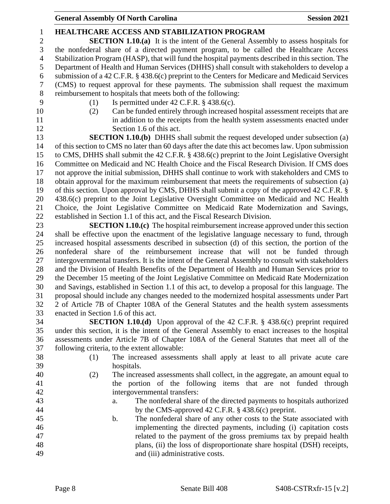| 1              | <b>HEALTHCARE ACCESS AND STABILIZATION PROGRAM</b>                                                                                                                                             |
|----------------|------------------------------------------------------------------------------------------------------------------------------------------------------------------------------------------------|
| $\overline{2}$ | <b>SECTION 1.10.(a)</b> It is the intent of the General Assembly to assess hospitals for                                                                                                       |
| 3              | the nonfederal share of a directed payment program, to be called the Healthcare Access                                                                                                         |
| $\overline{4}$ | Stabilization Program (HASP), that will fund the hospital payments described in this section. The                                                                                              |
| 5              | Department of Health and Human Services (DHHS) shall consult with stakeholders to develop a                                                                                                    |
| 6              | submission of a 42 C.F.R. § 438.6(c) preprint to the Centers for Medicare and Medicaid Services                                                                                                |
| $\tau$         | (CMS) to request approval for these payments. The submission shall request the maximum                                                                                                         |
| $8\,$          | reimbursement to hospitals that meets both of the following:                                                                                                                                   |
| 9              | Is permitted under 42 C.F.R. $\S$ 438.6(c).<br>(1)                                                                                                                                             |
| 10             | Can be funded entirely through increased hospital assessment receipts that are<br>(2)                                                                                                          |
| 11             | in addition to the receipts from the health system assessments enacted under                                                                                                                   |
| 12             | Section 1.6 of this act.                                                                                                                                                                       |
| 13             | <b>SECTION 1.10.(b)</b> DHHS shall submit the request developed under subsection (a)                                                                                                           |
| 14             | of this section to CMS no later than 60 days after the date this act becomes law. Upon submission                                                                                              |
| 15             | to CMS, DHHS shall submit the 42 C.F.R. § 438.6(c) preprint to the Joint Legislative Oversight                                                                                                 |
| 16             | Committee on Medicaid and NC Health Choice and the Fiscal Research Division. If CMS does                                                                                                       |
| 17             | not approve the initial submission, DHHS shall continue to work with stakeholders and CMS to                                                                                                   |
| 18             | obtain approval for the maximum reimbursement that meets the requirements of subsection (a)                                                                                                    |
| 19             | of this section. Upon approval by CMS, DHHS shall submit a copy of the approved 42 C.F.R. §                                                                                                    |
| 20             | 438.6(c) preprint to the Joint Legislative Oversight Committee on Medicaid and NC Health                                                                                                       |
| 21             | Choice, the Joint Legislative Committee on Medicaid Rate Modernization and Savings,                                                                                                            |
| 22             | established in Section 1.1 of this act, and the Fiscal Research Division.                                                                                                                      |
| 23             | <b>SECTION 1.10.(c)</b> The hospital reimbursement increase approved under this section                                                                                                        |
| 24<br>25       | shall be effective upon the enactment of the legislative language necessary to fund, through<br>increased hospital assessments described in subsection (d) of this section, the portion of the |
| 26             | nonfederal share of the reimbursement increase that will not be funded through                                                                                                                 |
| 27             | intergovernmental transfers. It is the intent of the General Assembly to consult with stakeholders                                                                                             |
| 28             | and the Division of Health Benefits of the Department of Health and Human Services prior to                                                                                                    |
| 29             | the December 15 meeting of the Joint Legislative Committee on Medicaid Rate Modernization                                                                                                      |
| 30             | and Savings, established in Section 1.1 of this act, to develop a proposal for this language. The                                                                                              |
| 31             | proposal should include any changes needed to the modernized hospital assessments under Part                                                                                                   |
| 32             | 2 of Article 7B of Chapter 108A of the General Statutes and the health system assessments                                                                                                      |
| 33             | enacted in Section 1.6 of this act.                                                                                                                                                            |
| 34             | <b>SECTION 1.10.(d)</b> Upon approval of the 42 C.F.R. $\S$ 438.6(c) preprint required                                                                                                         |
| 35             | under this section, it is the intent of the General Assembly to enact increases to the hospital                                                                                                |
| 36             | assessments under Article 7B of Chapter 108A of the General Statutes that meet all of the                                                                                                      |
| 37             | following criteria, to the extent allowable:                                                                                                                                                   |
| 38             | The increased assessments shall apply at least to all private acute care<br>(1)                                                                                                                |
| 39             | hospitals.                                                                                                                                                                                     |
| 40             | The increased assessments shall collect, in the aggregate, an amount equal to<br>(2)                                                                                                           |
| 41             | the portion of the following items that are not funded through                                                                                                                                 |
| 42             | intergovernmental transfers:                                                                                                                                                                   |
| 43             | The nonfederal share of the directed payments to hospitals authorized<br>a.                                                                                                                    |
| 44             | by the CMS-approved 42 C.F.R. $\S$ 438.6(c) preprint.                                                                                                                                          |
| 45             | The nonfederal share of any other costs to the State associated with<br>b.                                                                                                                     |
| 46             | implementing the directed payments, including (i) capitation costs                                                                                                                             |
| 47             | related to the payment of the gross premiums tax by prepaid health                                                                                                                             |
| 48             | plans, (ii) the loss of disproportionate share hospital (DSH) receipts,                                                                                                                        |
| 49             | and (iii) administrative costs.                                                                                                                                                                |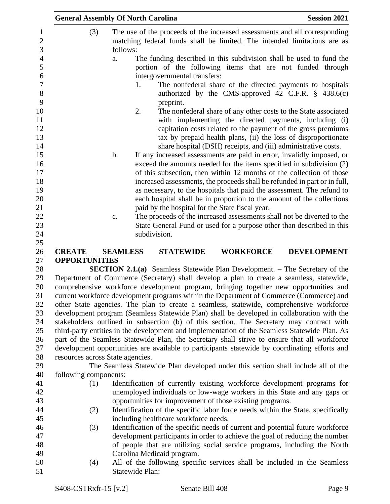|                                  | <b>General Assembly Of North Carolina</b><br><b>Session 2021</b>                                                                                                                                                                                                                                                                     |
|----------------------------------|--------------------------------------------------------------------------------------------------------------------------------------------------------------------------------------------------------------------------------------------------------------------------------------------------------------------------------------|
| (3)                              | The use of the proceeds of the increased assessments and all corresponding<br>matching federal funds shall be limited. The intended limitations are as<br>follows:                                                                                                                                                                   |
|                                  | The funding described in this subdivision shall be used to fund the<br>a.<br>portion of the following items that are not funded through<br>intergovernmental transfers:                                                                                                                                                              |
|                                  | The nonfederal share of the directed payments to hospitals<br>1.<br>authorized by the CMS-approved 42 C.F.R. § 438.6(c)<br>preprint.                                                                                                                                                                                                 |
|                                  | The nonfederal share of any other costs to the State associated<br>2.<br>with implementing the directed payments, including (i)<br>capitation costs related to the payment of the gross premiums<br>tax by prepaid health plans, (ii) the loss of disproportionate<br>share hospital (DSH) receipts, and (iii) administrative costs. |
|                                  | $\mathbf b$ .<br>If any increased assessments are paid in error, invalidly imposed, or<br>exceed the amounts needed for the items specified in subdivision (2)<br>of this subsection, then within 12 months of the collection of those                                                                                               |
|                                  | increased assessments, the proceeds shall be refunded in part or in full,<br>as necessary, to the hospitals that paid the assessment. The refund to<br>each hospital shall be in proportion to the amount of the collections                                                                                                         |
|                                  | paid by the hospital for the State fiscal year.<br>The proceeds of the increased assessments shall not be diverted to the<br>c.<br>State General Fund or used for a purpose other than described in this                                                                                                                             |
|                                  | subdivision.                                                                                                                                                                                                                                                                                                                         |
| <b>CREATE</b>                    | <b>SEAMLESS</b><br><b>STATEWIDE</b><br><b>WORKFORCE</b><br><b>DEVELOPMENT</b>                                                                                                                                                                                                                                                        |
| <b>OPPORTUNITIES</b>             |                                                                                                                                                                                                                                                                                                                                      |
|                                  | <b>SECTION 2.1.(a)</b> Seamless Statewide Plan Development. – The Secretary of the                                                                                                                                                                                                                                                   |
|                                  | Department of Commerce (Secretary) shall develop a plan to create a seamless, statewide,                                                                                                                                                                                                                                             |
|                                  | comprehensive workforce development program, bringing together new opportunities and<br>current workforce development programs within the Department of Commerce (Commerce) and                                                                                                                                                      |
|                                  | other State agencies. The plan to create a seamless, statewide, comprehensive workforce                                                                                                                                                                                                                                              |
|                                  | development program (Seamless Statewide Plan) shall be developed in collaboration with the                                                                                                                                                                                                                                           |
|                                  | stakeholders outlined in subsection (b) of this section. The Secretary may contract with                                                                                                                                                                                                                                             |
|                                  | third-party entities in the development and implementation of the Seamless Statewide Plan. As                                                                                                                                                                                                                                        |
|                                  | part of the Seamless Statewide Plan, the Secretary shall strive to ensure that all workforce                                                                                                                                                                                                                                         |
|                                  | development opportunities are available to participants statewide by coordinating efforts and                                                                                                                                                                                                                                        |
| resources across State agencies. |                                                                                                                                                                                                                                                                                                                                      |
|                                  | The Seamless Statewide Plan developed under this section shall include all of the                                                                                                                                                                                                                                                    |
| following components:            |                                                                                                                                                                                                                                                                                                                                      |
| (1)                              | Identification of currently existing workforce development programs for                                                                                                                                                                                                                                                              |
|                                  | unemployed individuals or low-wage workers in this State and any gaps or<br>opportunities for improvement of those existing programs.                                                                                                                                                                                                |
| (2)                              | Identification of the specific labor force needs within the State, specifically                                                                                                                                                                                                                                                      |
|                                  | including healthcare workforce needs.                                                                                                                                                                                                                                                                                                |
| (3)                              | Identification of the specific needs of current and potential future workforce                                                                                                                                                                                                                                                       |
|                                  | development participants in order to achieve the goal of reducing the number                                                                                                                                                                                                                                                         |
|                                  | of people that are utilizing social service programs, including the North                                                                                                                                                                                                                                                            |
|                                  | Carolina Medicaid program.                                                                                                                                                                                                                                                                                                           |
| (4)                              | All of the following specific services shall be included in the Seamless<br>Statewide Plan:                                                                                                                                                                                                                                          |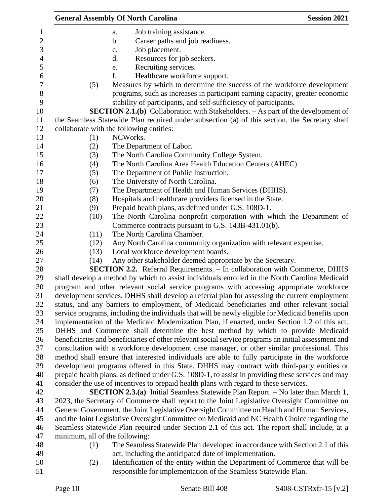|     | <b>General Assembly Of North Carolina</b>                                                                                                                                                    | <b>Session 2021</b> |
|-----|----------------------------------------------------------------------------------------------------------------------------------------------------------------------------------------------|---------------------|
|     | Job training assistance.<br>a.                                                                                                                                                               |                     |
|     | b.<br>Career paths and job readiness.                                                                                                                                                        |                     |
|     | Job placement.<br>c.                                                                                                                                                                         |                     |
|     | d.<br>Resources for job seekers.                                                                                                                                                             |                     |
|     | Recruiting services.<br>e.                                                                                                                                                                   |                     |
|     | f.<br>Healthcare workforce support.                                                                                                                                                          |                     |
| (5) | Measures by which to determine the success of the workforce development                                                                                                                      |                     |
|     | programs, such as increases in participant earning capacity, greater economic<br>stability of participants, and self-sufficiency of participants.                                            |                     |
|     | <b>SECTION 2.1.(b)</b> Collaboration with Stakeholders. - As part of the development of                                                                                                      |                     |
|     | the Seamless Statewide Plan required under subsection (a) of this section, the Secretary shall                                                                                               |                     |
|     | collaborate with the following entities:                                                                                                                                                     |                     |
| (1) | NCWorks.                                                                                                                                                                                     |                     |
| (2) | The Department of Labor.                                                                                                                                                                     |                     |
| (3) | The North Carolina Community College System.                                                                                                                                                 |                     |
| (4) | The North Carolina Area Health Education Centers (AHEC).                                                                                                                                     |                     |
| (5) | The Department of Public Instruction.                                                                                                                                                        |                     |
| (6) | The University of North Carolina.                                                                                                                                                            |                     |
| (7) | The Department of Health and Human Services (DHHS).                                                                                                                                          |                     |
| (8) | Hospitals and healthcare providers licensed in the State.                                                                                                                                    |                     |
| (9) | Prepaid health plans, as defined under G.S. 108D-1.                                                                                                                                          |                     |
|     | The North Carolina nonprofit corporation with which the Department of<br>(10)                                                                                                                |                     |
|     | Commerce contracts pursuant to G.S. 143B-431.01(b).                                                                                                                                          |                     |
|     | The North Carolina Chamber.<br>(11)                                                                                                                                                          |                     |
|     | (12)<br>Any North Carolina community organization with relevant expertise.                                                                                                                   |                     |
|     | (13)<br>Local workforce development boards.                                                                                                                                                  |                     |
|     | Any other stakeholder deemed appropriate by the Secretary.<br>(14)                                                                                                                           |                     |
|     | <b>SECTION 2.2.</b> Referral Requirements. - In collaboration with Commerce, DHHS                                                                                                            |                     |
|     | shall develop a method by which to assist individuals enrolled in the North Carolina Medicaid                                                                                                |                     |
|     | program and other relevant social service programs with accessing appropriate workforce                                                                                                      |                     |
|     | development services. DHHS shall develop a referral plan for assessing the current employment                                                                                                |                     |
|     | status, and any barriers to employment, of Medicaid beneficiaries and other relevant social                                                                                                  |                     |
|     | service programs, including the individuals that will be newly eligible for Medicaid benefits upon                                                                                           |                     |
|     | implementation of the Medicaid Modernization Plan, if enacted, under Section 1.2 of this act.                                                                                                |                     |
|     | DHHS and Commerce shall determine the best method by which to provide Medicaid                                                                                                               |                     |
|     | beneficiaries and beneficiaries of other relevant social service programs an initial assessment and                                                                                          |                     |
|     | consultation with a workforce development case manager, or other similar professional. This                                                                                                  |                     |
|     | method shall ensure that interested individuals are able to fully participate in the workforce<br>development programs offered in this State. DHHS may contract with third-party entities or |                     |
|     | prepaid health plans, as defined under G.S. 108D-1, to assist in providing these services and may                                                                                            |                     |
|     | consider the use of incentives to prepaid health plans with regard to these services.                                                                                                        |                     |
|     | <b>SECTION 2.3.(a)</b> Initial Seamless Statewide Plan Report. - No later than March 1,                                                                                                      |                     |
|     | 2023, the Secretary of Commerce shall report to the Joint Legislative Oversight Committee on                                                                                                 |                     |
|     | General Government, the Joint Legislative Oversight Committee on Health and Human Services,                                                                                                  |                     |
|     | and the Joint Legislative Oversight Committee on Medicaid and NC Health Choice regarding the                                                                                                 |                     |
|     | Seamless Statewide Plan required under Section 2.1 of this act. The report shall include, at a                                                                                               |                     |
|     | minimum, all of the following:                                                                                                                                                               |                     |
|     | The Seamless Statewide Plan developed in accordance with Section 2.1 of this<br>(1)                                                                                                          |                     |
|     | in der diese skap gestiedenheid data af inselsere orstatio                                                                                                                                   |                     |

- 
- act, including the anticipated date of implementation.
- (2) Identification of the entity within the Department of Commerce that will be responsible for implementation of the Seamless Statewide Plan.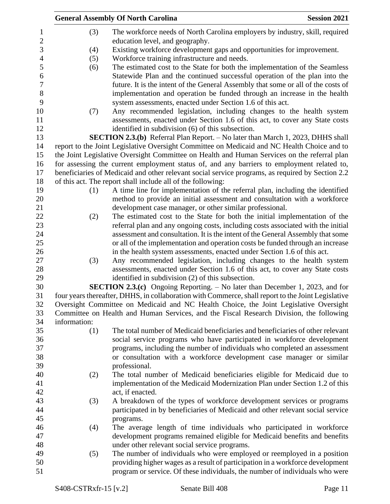|                  |              | <b>General Assembly Of North Carolina</b>                                                                                                    | <b>Session 2021</b> |
|------------------|--------------|----------------------------------------------------------------------------------------------------------------------------------------------|---------------------|
| $\mathbf{1}$     | (3)          | The workforce needs of North Carolina employers by industry, skill, required                                                                 |                     |
| $\overline{c}$   |              | education level, and geography.                                                                                                              |                     |
| 3                | (4)          | Existing workforce development gaps and opportunities for improvement.                                                                       |                     |
| $\overline{4}$   | (5)          | Workforce training infrastructure and needs.                                                                                                 |                     |
| 5                | (6)          | The estimated cost to the State for both the implementation of the Seamless                                                                  |                     |
| 6                |              | Statewide Plan and the continued successful operation of the plan into the                                                                   |                     |
| $\boldsymbol{7}$ |              | future. It is the intent of the General Assembly that some or all of the costs of                                                            |                     |
| 8                |              | implementation and operation be funded through an increase in the health                                                                     |                     |
| 9                |              | system assessments, enacted under Section 1.6 of this act.                                                                                   |                     |
| 10               | (7)          | Any recommended legislation, including changes to the health system                                                                          |                     |
| 11               |              | assessments, enacted under Section 1.6 of this act, to cover any State costs                                                                 |                     |
| 12               |              | identified in subdivision (6) of this subsection.                                                                                            |                     |
| 13               |              | <b>SECTION 2.3.(b)</b> Referral Plan Report. - No later than March 1, 2023, DHHS shall                                                       |                     |
| 14               |              | report to the Joint Legislative Oversight Committee on Medicaid and NC Health Choice and to                                                  |                     |
| 15               |              | the Joint Legislative Oversight Committee on Health and Human Services on the referral plan                                                  |                     |
| 16               |              | for assessing the current employment status of, and any barriers to employment related to,                                                   |                     |
| 17               |              |                                                                                                                                              |                     |
|                  |              | beneficiaries of Medicaid and other relevant social service programs, as required by Section 2.2                                             |                     |
| 18               |              | of this act. The report shall include all of the following:<br>A time line for implementation of the referral plan, including the identified |                     |
| 19               | (1)          |                                                                                                                                              |                     |
| 20               |              | method to provide an initial assessment and consultation with a workforce                                                                    |                     |
| 21               |              | development case manager, or other similar professional.                                                                                     |                     |
| 22               | (2)          | The estimated cost to the State for both the initial implementation of the                                                                   |                     |
| 23               |              | referral plan and any ongoing costs, including costs associated with the initial                                                             |                     |
| 24               |              | assessment and consultation. It is the intent of the General Assembly that some                                                              |                     |
| 25               |              | or all of the implementation and operation costs be funded through an increase                                                               |                     |
| 26               |              | in the health system assessments, enacted under Section 1.6 of this act.                                                                     |                     |
| 27               | (3)          | Any recommended legislation, including changes to the health system                                                                          |                     |
| 28               |              | assessments, enacted under Section 1.6 of this act, to cover any State costs                                                                 |                     |
| 29               |              | identified in subdivision (2) of this subsection.                                                                                            |                     |
| 30               |              | <b>SECTION 2.3.(c)</b> Ongoing Reporting. – No later than December 1, 2023, and for                                                          |                     |
| 31               |              | four years thereafter, DHHS, in collaboration with Commerce, shall report to the Joint Legislative                                           |                     |
| 32               |              | Oversight Committee on Medicaid and NC Health Choice, the Joint Legislative Oversight                                                        |                     |
| 33               |              | Committee on Health and Human Services, and the Fiscal Research Division, the following                                                      |                     |
| 34               | information: |                                                                                                                                              |                     |
| 35               | (1)          | The total number of Medicaid beneficiaries and beneficiaries of other relevant                                                               |                     |
| 36               |              | social service programs who have participated in workforce development                                                                       |                     |
| 37               |              | programs, including the number of individuals who completed an assessment                                                                    |                     |
| 38               |              | or consultation with a workforce development case manager or similar                                                                         |                     |
| 39               |              | professional.                                                                                                                                |                     |
| 40               | (2)          | The total number of Medicaid beneficiaries eligible for Medicaid due to                                                                      |                     |
| 41               |              | implementation of the Medicaid Modernization Plan under Section 1.2 of this                                                                  |                     |
| 42               |              | act, if enacted.                                                                                                                             |                     |
| 43               | (3)          | A breakdown of the types of workforce development services or programs                                                                       |                     |
| 44               |              | participated in by beneficiaries of Medicaid and other relevant social service                                                               |                     |
| 45               |              | programs.                                                                                                                                    |                     |
| 46               | (4)          | The average length of time individuals who participated in workforce                                                                         |                     |
| 47               |              | development programs remained eligible for Medicaid benefits and benefits                                                                    |                     |
| 48               |              | under other relevant social service programs.                                                                                                |                     |
| 49               | (5)          | The number of individuals who were employed or reemployed in a position                                                                      |                     |
| 50               |              | providing higher wages as a result of participation in a workforce development                                                               |                     |
| 51               |              | program or service. Of these individuals, the number of individuals who were                                                                 |                     |